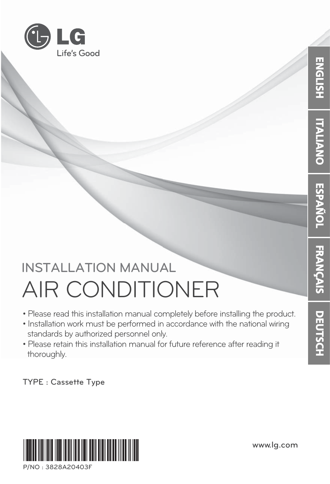

# **INSTALLATION MANUAL INSTALLATION MANUAL** AIR CONDITIONER

- Please read this installation manual completely before installing the product.
- Installation work must be performed in accordance with the national wiring standards by authorized personnel only.
- Please retain this installation manual for future reference after reading it thoroughly.

**TYPE : Cassette Type**



 $P/NO \cdot 3828A20403F$ **P/NO : 3828A20403F** **www.lg.com**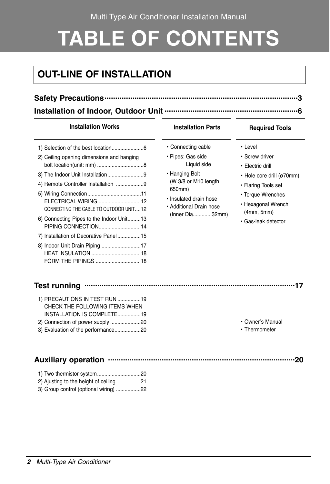Multi Type Air Conditioner Installation Manual

# **TABLE OF CONTENTS**

# **OUT-LINE OF INSTALLATION**

- **Safety Precautions..........................................................................................3**
- **Installation of Indoor, Outdoor Unit ..............................................................6**

#### **Installation Works The Installation Parts Required Tools**

| 2) Ceiling opening dimensions and hanging |  |
|-------------------------------------------|--|
|                                           |  |
|                                           |  |
|                                           |  |
|                                           |  |
| ELECTRICAL WIRING 12                      |  |
| CONNECTING THE CABLE TO OUTDOOR UNIT12    |  |
| 6) Connecting Pipes to the Indoor Unit13  |  |
| PIPING CONNECTION14                       |  |
| 7) Installation of Decorative Panel15     |  |
|                                           |  |
| <b>HEAT INSULATION</b> 18                 |  |
| FORM THE PIPINGS 18                       |  |

- Connecting cable
- Pipes: Gas side Liquid side
- Hanging Bolt (W 3/8 or M10 length 650mm)
- Insulated drain hose
- Additional Drain hose (Inner Dia.............32mm)

- Level
- Screw driver
- Electric drill
- Hole core drill (ø70mm)
- Flaring Tools set
- Torque Wrenches
- Hexagonal Wrench (4mm, 5mm)
- Gas-leak detector

#### **Test running ..................................................................................................17**

| 1) PRECAUTIONS IN TEST RUN 19      |  |
|------------------------------------|--|
| CHECK THE FOLLOWING ITEMS WHEN     |  |
| INSTALLATION IS COMPLETE19         |  |
| 2) Connection of power supply 20   |  |
| 3) Evaluation of the performance20 |  |

#### • Owner's Manual

• Thermometer

#### **Auxiliary operation .......................................................................................20**

| 3) Group control (optional wiring) 22 |  |
|---------------------------------------|--|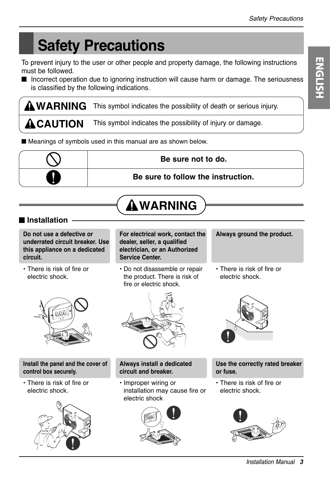# **Safety Precautions**

To prevent injury to the user or other people and property damage, the following instructions must be followed.

■ Incorrect operation due to ignoring instruction will cause harm or damage. The seriousness is classified by the following indications.

WARNING This symbol indicates the possibility of death or serious injury.

**ACAUTION** This symbol indicates the possibility of injury or damage.

■ Meanings of symbols used in this manual are as shown below.



**WARNING**

#### ■ **Installation**

**Do not use a defective or underrated circuit breaker. Use this appliance on a dedicated circuit.**

• There is risk of fire or electric shock.



**Install the panel and the cover of control box securely.**

• There is risk of fire or electric shock.



**For electrical work, contact the dealer, seller, a qualified electrician, or an Authorized Service Center.**

• Do not disassemble or repair the product. There is risk of fire or electric shock.



#### **Always install a dedicated circuit and breaker.**

• Improper wiring or installation may cause fire or electric shock



**Always ground the product.**

• There is risk of fire or electric shock.



**Use the correctly rated breaker or fuse.**

• There is risk of fire or electric shock.

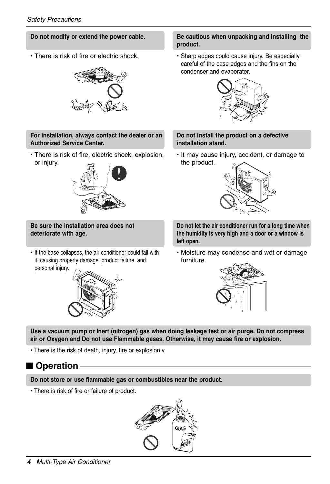#### **Do not modify or extend the power cable.**

• There is risk of fire or electric shock.



#### **For installation, always contact the dealer or an Authorized Service Center.**

• There is risk of fire, electric shock, explosion, or injury.



**Be sure the installation area does not deteriorate with age.**

• If the base collapses, the air conditioner could fall with it, causing property damage, product failure, and personal injury.



#### **Be cautious when unpacking and installing the product.**

• Sharp edges could cause injury. Be especially careful of the case edges and the fins on the condenser and evaporator.



#### **Do not install the product on a defective installation stand.**

• It may cause injury, accident, or damage to the product.



**Do not let the air conditioner run for a long time when the humidity is very high and a door or a window is left open.**

• Moisture may condense and wet or damage furniture.



**Use a vacuum pump or Inert (nitrogen) gas when doing leakage test or air purge. Do not compress air or Oxygen and Do not use Flammable gases. Otherwise, it may cause fire or explosion.** 

• There is the risk of death, injury, fire or explosion.v

### ■ **Operation**

**Do not store or use flammable gas or combustibles near the product.**

• There is risk of fire or failure of product.

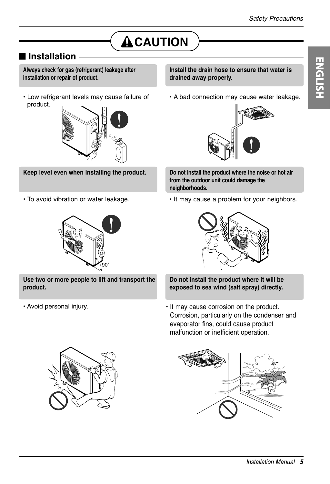# **ACAUTION**

#### ■ **Installation**

**Always check for gas (refrigerant) leakage after installation or repair of product.**

• Low refrigerant levels may cause failure of product.



**Keep level even when installing the product.** 

• To avoid vibration or water leakage.



**Use two or more people to lift and transport the product.** 

• Avoid personal injury.

**Install the drain hose to ensure that water is drained away properly.**

• A bad connection may cause water leakage.



**Do not install the product where the noise or hot air from the outdoor unit could damage the neighborhoods.**

• It may cause a problem for your neighbors.



**Do not install the product where it will be exposed to sea wind (salt spray) directly.**

• It may cause corrosion on the product. Corrosion, particularly on the condenser and evaporator fins, could cause product malfunction or inefficient operation.



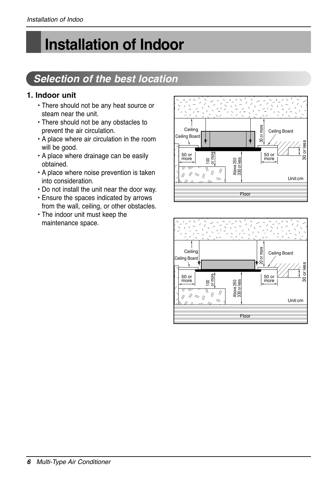# **Installation of Indoor**

# *Selection of the best location*

#### **1. Indoor unit**

- There should not be any heat source or steam near the unit.
- There should not be any obstacles to prevent the air circulation.
- A place where air circulation in the room will be good.
- A place where drainage can be easily obtained.
- A place where noise prevention is taken into consideration.
- Do not install the unit near the door way.
- Ensure the spaces indicated by arrows from the wall, ceiling, or other obstacles.
- The indoor unit must keep the maintenance space.



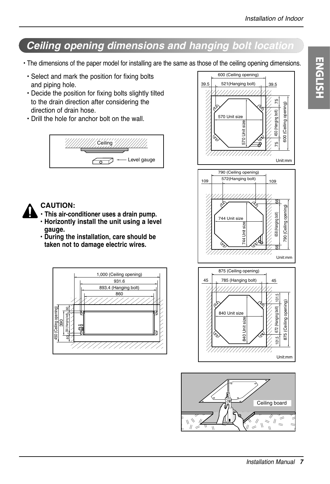# *Ceiling opening dimensions and hanging bolt location*

- The dimensions of the paper model for installing are the same as those of the ceiling opening dimensions.
	- Select and mark the position for fixing bolts and piping hole.
	- Decide the position for fixing bolts slightly tilted to the drain direction after considering the direction of drain hose.
	- Drill the hole for anchor bolt on the wall.





#### **CAUTION:**

- **• This air-conditioner uses a drain pump. • Horizontly install the unit using a level gauge.**
- **During the installation, care should be taken not to damage electric wires.**





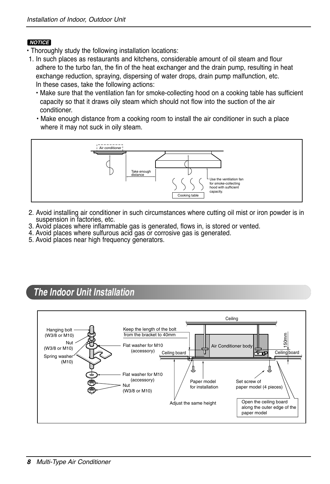#### *NOTICE*

- Thoroughly study the following installation locations:
- 1. In such places as restaurants and kitchens, considerable amount of oil steam and flour adhere to the turbo fan, the fin of the heat exchanger and the drain pump, resulting in heat exchange reduction, spraying, dispersing of water drops, drain pump malfunction, etc. In these cases, take the following actions:
	- Make sure that the ventilation fan for smoke-collecting hood on a cooking table has sufficient capacity so that it draws oily steam which should not flow into the suction of the air conditioner.
	- Make enough distance from a cooking room to install the air conditioner in such a place where it may not suck in oily steam.



- 2. Avoid installing air conditioner in such circumstances where cutting oil mist or iron powder is in suspension in factories, etc.
- 3. Avoid places where inflammable gas is generated, flows in, is stored or vented.
- 4. Avoid places where sulfurous acid gas or corrosive gas is generated.
- 5. Avoid places near high frequency generators.

### *The Indoor Unit Installation*

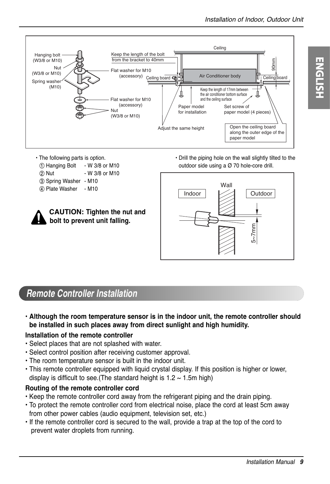

- The following parts is option.
	- ① Hanging Bolt W 3/8 or M10
	- (2) Nut W 3/8 or M10
	- ③ Spring Washer M10
	- ④ Plate Washer M10

| $\boldsymbol{\hat{\Omega}}$ | <b>CAUTION: Tighten the nut and</b> |
|-----------------------------|-------------------------------------|
|                             | bolt to prevent unit falling.       |

• Drill the piping hole on the wall slightly tilted to the outdoor side using a Ø 70 hole-core drill.



### *Remote Controller Installation*

**• Although the room temperature sensor is in the indoor unit, the remote controller should be installed in such places away from direct sunlight and high humidity.**

#### **Installation of the remote controller**

- Select places that are not splashed with water.
- Select control position after receiving customer approval.
- The room temperature sensor is built in the indoor unit.
- This remote controller equipped with liquid crystal display. If this position is higher or lower, display is difficult to see. (The standard height is  $1.2 \sim 1.5$ m high)

#### **Routing of the remote controller cord**

- Keep the remote controller cord away from the refrigerant piping and the drain piping.
- To protect the remote controller cord from electrical noise, place the cord at least 5cm away from other power cables (audio equipment, television set, etc.)
- If the remote controller cord is secured to the wall, provide a trap at the top of the cord to prevent water droplets from running.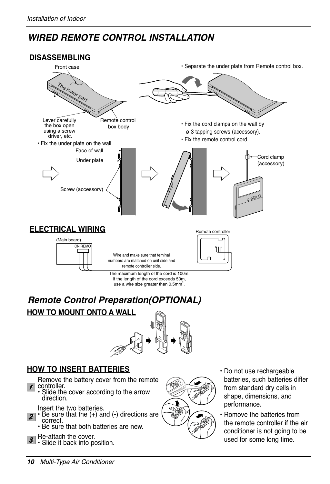# *WIRED REMOTE CONTROL INSTALLATION*

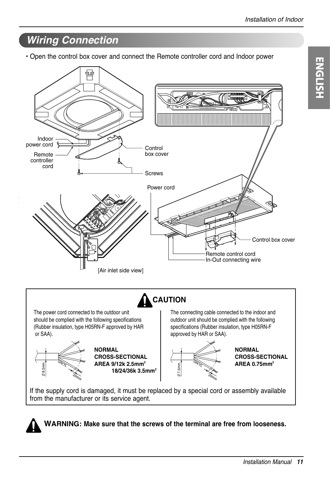# *Wiring Connection*

• Open the control box cover and connect the Remote controller cord and Indoor power





**WARNING: Make sure that the screws of the terminal are free from looseness.**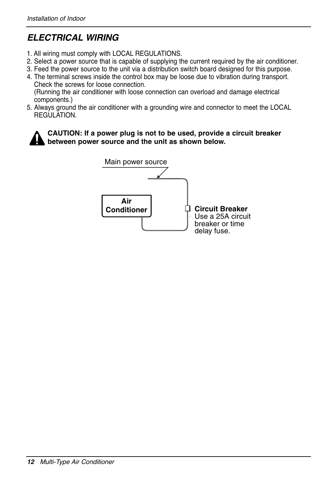## *ELECTRICAL WIRING*

- 1. All wiring must comply with LOCAL REGULATIONS.
- 2. Select a power source that is capable of supplying the current required by the air conditioner.
- 3. Feed the power source to the unit via a distribution switch board designed for this purpose.
- 4. The terminal screws inside the control box may be loose due to vibration during transport. Check the screws for loose connection. (Running the air conditioner with loose connection can overload and damage electrical
- components.) 5. Always ground the air conditioner with a grounding wire and connector to meet the LOCAL **REGULATION**



**CAUTION: If a power plug is not to be used, provide a circuit breaker between power source and the unit as shown below.**

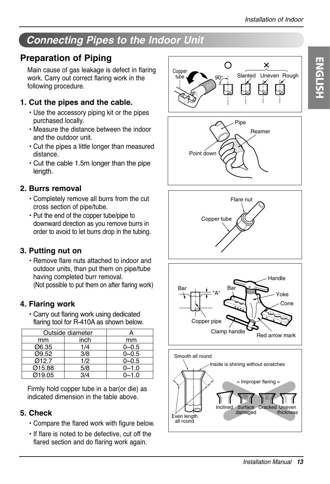# *Connecting Pipes to the Indoor Unit*

# **Preparation of Piping**

Main cause of gas leakage is defect in flaring work. Carry out correct flaring work in the following procedure.

#### **1. Cut the pipes and the cable.**

- Use the accessory piping kit or the pipes purchased locally.
- Measure the distance between the indoor and the outdoor unit.
- Cut the pipes a little longer than measured distance.
- Cut the cable 1.5m longer than the pipe length.

#### **2. Burrs removal**

- Completely remove all burrs from the cut cross section of pipe/tube.
- Put the end of the copper tube/pipe to downward direction as you remove burrs in order to avoid to let burrs drop in the tubing.

#### **3. Putting nut on**

• Remove flare nuts attached to indoor and outdoor units, than put them on pipe/tube having completed burr removal. (Not possible to put them on after flaring work)

#### **4. Flaring work**

• Carry out flaring work using dedicated flaring tool for R-410A as shown below.

| Outside diameter |      |           |
|------------------|------|-----------|
| mm               | inch | mm        |
| Ø6.35            | 1/4  | $0 - 0.5$ |
| 09.52            | 3/8  | $0 - 0.5$ |
| Ø12.7            | 1/2  | $0 - 0.5$ |
| Ø15.88           | 5/8  | $0 - 1.0$ |
| 019.05           | 3/4  | $0 - 1.0$ |

Firmly hold copper tube in a bar(or die) as indicated dimension in the table above.

#### **5. Check**

- Compare the flared work with figure below.
- If flare is noted to be defective, cut off the flared section and do flaring work again.









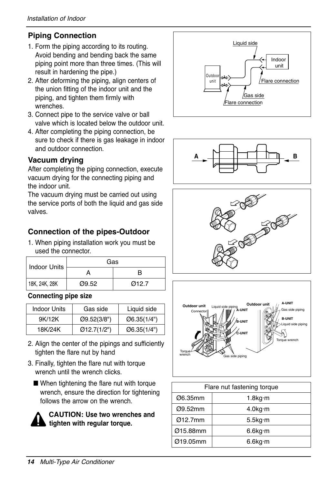#### **Piping Connection**

- 1. Form the piping according to its routing. Avoid bending and bending back the same piping point more than three times. (This will result in hardening the pipe.)
- 2. After deforming the piping, align centers of the union fitting of the indoor unit and the piping, and tighten them firmly with wrenches.
- 3. Connect pipe to the service valve or ball valve which is located below the outdoor unit.
- 4. After completing the piping connection, be sure to check if there is gas leakage in indoor and outdoor connection.

#### **Vacuum drying**

After completing the piping connection, execute vacuum drying for the connecting piping and the indoor unit.

The vacuum drying must be carried out using the service ports of both the liquid and gas side valves.

#### **Connection of the pipes-Outdoor**

1. When piping installation work you must be used the connector.

| Indoor Units  | Gas   |       |  |
|---------------|-------|-------|--|
|               |       | R     |  |
| 18K, 24K, 28K | Ø9.52 | Ø12.7 |  |

#### **Connecting pipe size**

| Indoor Units | Gas side     | Liquid side |
|--------------|--------------|-------------|
| 9K/12K       | O(9.52(3/8") | Ø6.35(1/4") |
| 18K/24K      | Q12.7(1/2")  | Ø6.35(1/4") |

- 2. Align the center of the pipings and sufficiently tighten the flare nut by hand
- 3. Finally, tighten the flare nut with torque wrench until the wrench clicks.
	- When tightening the flare nut with torque wrench, ensure the direction for tightening follows the arrow on the wrench.



**CAUTION: Use two wrenches and tighten with regular torque.**









| Flare nut fastening torque |                    |  |
|----------------------------|--------------------|--|
| Ø6.35mm                    | $1.8$ kg·m         |  |
| Ø9.52mm                    | 4.0kg·m            |  |
| Ø12.7mm                    | $5.5$ kg $\cdot$ m |  |
| Ø15.88mm                   | $6.6$ kg $\cdot$ m |  |
| Ø19.05mm                   | 6.6kg·m            |  |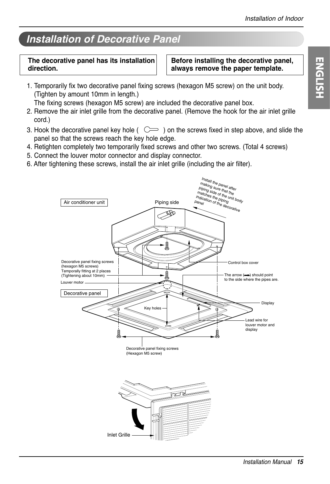# *Installation of Decorative Panel*

#### **The decorative panel has its installation direction.**

**Before installing the decorative panel, always remove the paper template.**

1. Temporarily fix two decorative panel fixing screws (hexagon M5 screw) on the unit body. (Tighten by amount 10mm in length.)

The fixing screws (hexagon M5 screw) are included the decorative panel box.

- 2. Remove the air inlet grille from the decorative panel. (Remove the hook for the air inlet grille cord.)
- 3. Hook the decorative panel key hole ( $\subset$ ) on the screws fixed in step above, and slide the panel so that the screws reach the key hole edge.
- 4. Retighten completely two temporarily fixed screws and other two screws. (Total 4 screws)
- 5. Connect the louver motor connector and display connector.
- 6. After tightening these screws, install the air inlet grille (including the air filter).

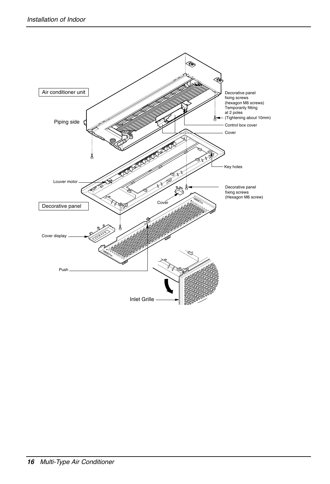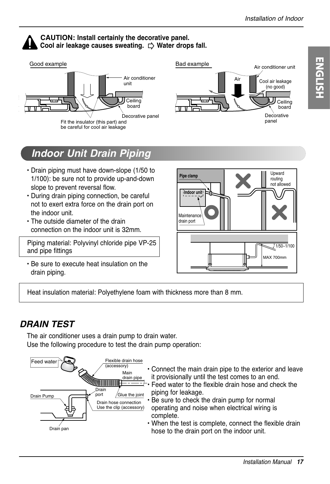#### **CAUTION: Install certainly the decorative panel. Cool air leakage causes sweating.** ⇨ **Water drops fall.**



*Indoor Unit Drain Piping*

- Drain piping must have down-slope (1/50 to 1/100): be sure not to provide up-and-down slope to prevent reversal flow.
- During drain piping connection, be careful not to exert extra force on the drain port on the indoor unit.
- The outside diameter of the drain connection on the indoor unit is 32mm.

Piping material: Polyvinyl chloride pipe VP-25 and pipe fittings

• Be sure to execute heat insulation on the drain piping.



Heat insulation material: Polyethylene foam with thickness more than 8 mm.

### *DRAIN TEST*

The air conditioner uses a drain pump to drain water. Use the following procedure to test the drain pump operation:



- Connect the main drain pipe to the exterior and leave it provisionally until the test comes to an end.
- Feed water to the flexible drain hose and check the piping for leakage.
- Be sure to check the drain pump for normal operating and noise when electrical wiring is complete.
- When the test is complete, connect the flexible drain hose to the drain port on the indoor unit.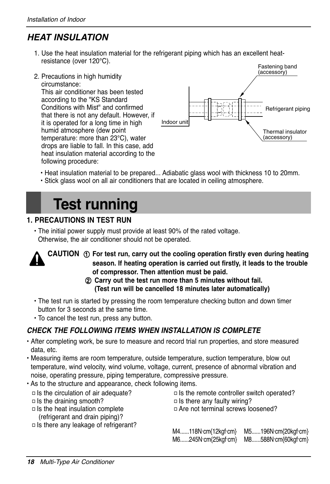# *HEAT INSULATION*

- 1. Use the heat insulation material for the refrigerant piping which has an excellent heatresistance (over 120°C).
- 2. Precautions in high humidity circumstance: This air conditioner has been tested according to the "KS Standard Conditions with Mist" and confirmed that there is not any default. However, if it is operated for a long time in high humid atmosphere (dew point temperature: more than 23°C), water drops are liable to fall. In this case, add heat insulation material according to the following procedure:



- Heat insulation material to be prepared... Adiabatic glass wool with thickness 10 to 20mm.
- Stick glass wool on all air conditioners that are located in ceiling atmosphere.

# **Test running**

#### **1. PRECAUTIONS IN TEST RUN**

• The initial power supply must provide at least 90% of the rated voltage. Otherwise, the air conditioner should not be operated.



- **CAUTION** ① **For test run, carry out the cooling operation firstly even during heating season. If heating operation is carried out firstly, it leads to the trouble of compressor. Then attention must be paid.**
	- ② **Carry out the test run more than 5 minutes without fail. (Test run will be cancelled 18 minutes later automatically)**
- The test run is started by pressing the room temperature checking button and down timer button for 3 seconds at the same time.
- To cancel the test run, press any button.

#### *CHECK THE FOLLOWING ITEMS WHEN INSTALLATION IS COMPLETE*

- After completing work, be sure to measure and record trial run properties, and store measured data, etc.
- Measuring items are room temperature, outside temperature, suction temperature, blow out temperature, wind velocity, wind volume, voltage, current, presence of abnormal vibration and noise, operating pressure, piping temperature, compressive pressure.
- As to the structure and appearance, check following items.
- □ Is the circulation of air adequate?
- □ Is the draining smooth?
- □Is the heat insulation complete (refrigerant and drain piping)?
- $\Box$  Is there any faulty wiring? □Are not terminal screws loosened?

□ Is the remote controller switch operated?

- M4......118N.cm{12kgf cm} M5......196N·cm{20kgf·cm} M6......245N. cm{25kgf. cm} M8......588N. cm{60kgf. cm}
- □ Is there any leakage of refrigerant?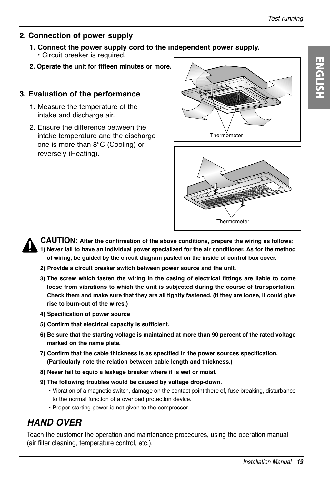#### **2. Connection of power supply**

- **1. Connect the power supply cord to the independent power supply.** • Circuit breaker is required.
- **2. Operate the unit for fifteen minutes or more.**

#### **3. Evaluation of the performance**

- 1. Measure the temperature of the intake and discharge air.
- 2. Ensure the difference between the intake temperature and the discharge one is more than 8°C (Cooling) or reversely (Heating).







**CAUTION: After the confirmation of the above conditions, prepare the wiring as follows: 1) Never fail to have an individual power specialized for the air conditioner. As for the method of wiring, be guided by the circuit diagram pasted on the inside of control box cover.**

- **2) Provide a circuit breaker switch between power source and the unit.**
- **3) The screw which fasten the wiring in the casing of electrical fittings are liable to come loose from vibrations to which the unit is subjected during the course of transportation. Check them and make sure that they are all tightly fastened. (If they are loose, it could give rise to burn-out of the wires.)**
- **4) Specification of power source**
- **5) Confirm that electrical capacity is sufficient.**
- **6) Be sure that the starting voltage is maintained at more than 90 percent of the rated voltage marked on the name plate.**
- **7) Confirm that the cable thickness is as specified in the power sources specification. (Particularly note the relation between cable length and thickness.)**
- **8) Never fail to equip a leakage breaker where it is wet or moist.**
- **9) The following troubles would be caused by voltage drop-down.**
	- Vibration of a magnetic switch, damage on the contact point there of, fuse breaking, disturbance to the normal function of a overload protection device.
	- Proper starting power is not given to the compressor.

### *HAND OVER*

Teach the customer the operation and maintenance procedures, using the operation manual (air filter cleaning, temperature control, etc.).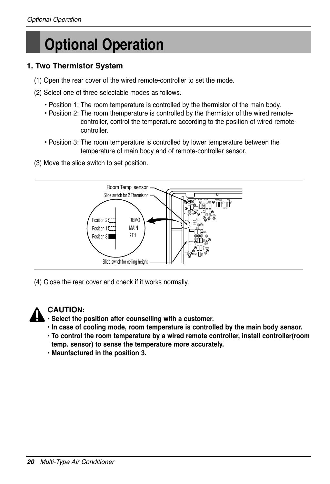# **Optional Operation**

#### **1. Two Thermistor System**

- (1) Open the rear cover of the wired remote-controller to set the mode.
- (2) Select one of three selectable modes as follows.
	- Position 1: The room temperature is controlled by the thermistor of the main body.
	- Position 2: The room themperature is controlled by the thermistor of the wired remotecontroller, control the temperature according to the position of wired remotecontroller.
	- Position 3: The room temperature is controlled by lower temperature between the temperature of main body and of remote-controller sensor.
- (3) Move the slide switch to set position.



(4) Close the rear cover and check if it works normally.



#### **CAUTION:**

- **Select the position after counselling with a customer.**
- **In case of cooling mode, room temperature is controlled by the main body sensor.**
- **To control the room temperature by a wired remote controller, install controller(room temp. sensor) to sense the temperature more accurately.**
- **Maunfactured in the position 3.**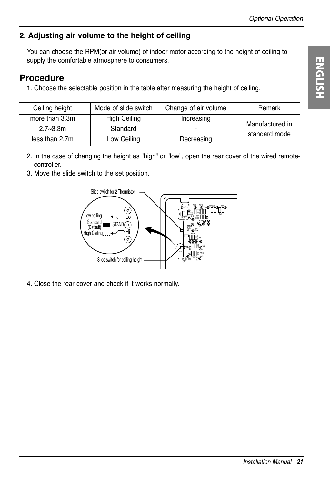### **2. Adjusting air volume to the height of ceiling**

You can choose the RPM(or air volume) of indoor motor according to the height of ceiling to supply the comfortable atmosphere to consumers.

## **Procedure**

1. Choose the selectable position in the table after measuring the height of ceiling.

| Ceiling height | Mode of slide switch | Change of air volume | Remark          |  |
|----------------|----------------------|----------------------|-----------------|--|
| more than 3.3m | High Ceiling         | Increasing           | Manufactured in |  |
| $2.7 - 3.3$ m  | Standard             |                      | standard mode   |  |
| less than 2.7m | Low Ceiling          | Decreasing           |                 |  |

- 2. In the case of changing the height as "high" or "low", open the rear cover of the wired remotecontroller.
- 3. Move the slide switch to the set position.



4. Close the rear cover and check if it works normally.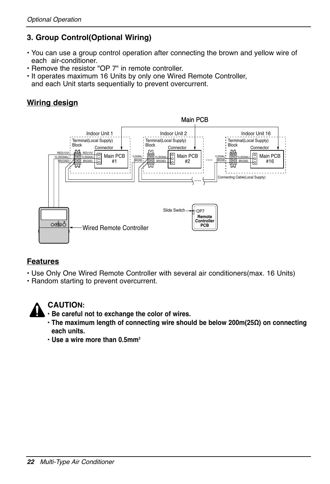#### **3. Group Control(Optional Wiring)**

- You can use a group control operation after connecting the brown and yellow wire of each air-conditioner.
- Remove the resistor "OP 7" in remote controller.
- It operates maximum 16 Units by only one Wired Remote Controller, and each Unit starts sequentially to prevent overcurrent.

#### **Wiring design**



#### **Features**

- Use Only One Wired Remote Controller with several air conditioners(max. 16 Units)
- Random starting to prevent overcurrent.



#### **CAUTION:**

- **Be careful not to exchange the color of wires.**
- **The maximum length of connecting wire should be below 200m(25Ω) on connecting each units.**
- **Use a wire more than 0.5mm2**